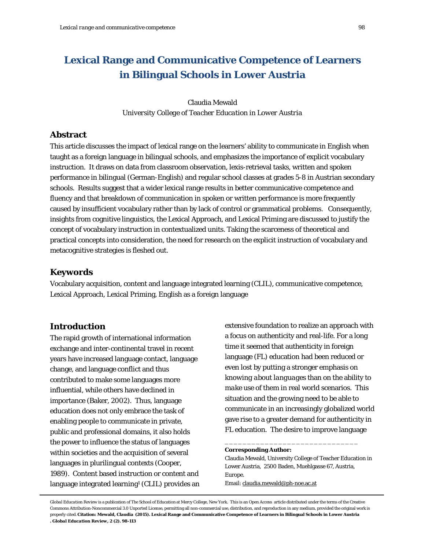# **Lexical Range and Communicative Competence of Learners in Bilingual Schools in Lower Austria**

Claudia Mewald *University College of Teacher Education in Lower Austria*

# **Abstract**

This article discusses the impact of lexical range on the learners' ability to communicate in English when taught as a foreign language in bilingual schools, and emphasizes the importance of explicit vocabulary instruction. It draws on data from classroom observation, lexis-retrieval tasks, written and spoken performance in bilingual (German-English) and regular school classes at grades 5-8 in Austrian secondary schools. Results suggest that a wider lexical range results in better communicative competence and fluency and that breakdown of communication in spoken or written performance is more frequently caused by insufficient vocabulary rather than by lack of control or grammatical problems. Consequently, insights from cognitive linguistics, the Lexical Approach, and Lexical Priming are discussed to justify the concept of vocabulary instruction in contextualized units. Taking the scarceness of theoretical and practical concepts into consideration, the need for research on the explicit instruction of vocabulary and metacognitive strategies is fleshed out.

# **Keywords**

Vocabulary acquisition, content and language integrated learning (CLIL), communicative competence, Lexical Approach, Lexical Priming, English as a foreign language

# **Introduction**

The rapid growth of international information exchange and inter-continental travel in recent years have increased language contact, language change, and language conflict and thus contributed to make some languages more influential, while others have declined in importance (Baker, 2002). Thus, language education does not only embrace the task of enabling people to communicate in private, public and professional domains, it also holds the power to influence the status of languages within societies and the acquisition of several languages in plurilingual contexts (Cooper, 1989). Content based instruction or content and language integrated learning<sup>1</sup> (CLIL) provides an

extensive foundation to realize an approach with a focus on authenticity and real-life. For a long time it seemed that authenticity in foreign language (FL) education had been reduced or even lost by putting a stronger emphasis on *knowing about languages* than on the ability to *make use* of them in real world scenarios. This situation and the growing need to be able to communicate in an increasingly globalized world gave rise to a greater demand for authenticity in FL education. The desire to improve language

#### **Corresponding Author:**

Claudia Mewald, University College of Teacher Education in Lower Austria, 2500 Baden, Muehlgasse 67, Austria, Europe.

\_\_\_\_\_\_\_\_\_\_\_\_\_\_\_\_\_\_\_\_\_\_\_\_\_\_\_\_\_\_

Email[: claudia.mewald@ph-noe.ac.at](mailto:claudia.mewald@ph-noe.ac.at)

*Global Education Review* is a publication of The School of Education at Mercy College, New York. This is an Open Access article distributed under the terms of the Creative Commons Attribution-Noncommercial 3.0 Unported License, permitting all non-commercial use, distribution, and reproduction in any medium, provided the original work is properly cited. **Citation: Mewald, Claudia (2015). Lexical Range and Communicative Competence of Learners in Bilingual Schools in Lower Austria .** *Global Education Review, 2* **(2). 98-113**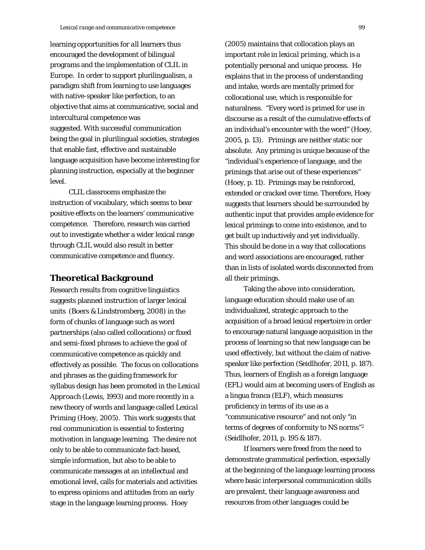learning opportunities for *all* learners thus encouraged the development of bilingual programs and the implementation of CLIL in Europe. In order to support plurilingualism, a paradigm shift from learning to use languages with native-speaker like perfection, to an objective that aims at communicative, social and intercultural competence was suggested. With successful communication being the goal in plurilingual societies, strategies that enable fast, effective and sustainable language acquisition have become interesting for planning instruction, especially at the beginner level.

CLIL classrooms emphasize the instruction of vocabulary, which seems to bear positive effects on the learners' communicative competence. Therefore, research was carried out to investigate whether a wider lexical range through CLIL would also result in better communicative competence and fluency.

## **Theoretical Background**

Research results from cognitive linguistics suggests planned instruction of larger lexical units (Boers & Lindstromberg, 2008) in the form of chunks of language such as word partnerships (also called collocations) or fixed and semi-fixed phrases to achieve the goal of communicative competence as quickly and effectively as possible. The focus on collocations and phrases as the guiding framework for syllabus design has been promoted in the *Lexical Approach* (Lewis, 1993) and more recently in a new theory of words and language called *Lexical Priming* (Hoey, 2005). This work suggests that real communication is essential to fostering motivation in language learning. The desire not only to be able to communicate fact-based, simple information, but also to be able to communicate messages at an intellectual and emotional level, calls for materials and activities to express opinions and attitudes from an early stage in the language learning process. Hoey

(2005) maintains that collocation plays an important role in *lexical priming*, which is a potentially personal and unique process. He explains that in the process of understanding and intake, words are mentally primed for collocational use, which is responsible for naturalness. "Every word is primed for use in discourse as a result of the cumulative effects of an individual's encounter with the word" (Hoey, 2005, p. 13). Primings are neither static nor absolute. Any priming is unique because of the "individual's experience of language, and the primings that arise out of these experiences" (Hoey, p. 11). Primings may be reinforced, extended or cracked over time. Therefore, Hoey suggests that learners should be surrounded by authentic input that provides ample evidence for lexical primings to come into existence, and to get built up inductively and yet individually. This should be done in a way that collocations and word associations are encouraged, rather than in lists of isolated words disconnected from all their primings.

Taking the above into consideration, language education should make use of an individualized, strategic approach to the acquisition of a broad lexical repertoire in order to encourage natural language acquisition in the process of learning so that new language can be used effectively, but without the claim of nativespeaker like perfection (Seidlhofer, 2011, p. 187). Thus, learners of English as a foreign language (EFL) would aim at becoming users of English as a lingua franca (ELF), which measures proficiency in terms of its use as a "communicative resource" and not only "in terms of degrees of conformity to NS norms"2 (Seidlhofer, 2011, p. 195 & 187).

If learners were freed from the need to demonstrate grammatical perfection, especially at the beginning of the language learning process where basic interpersonal communication skills are prevalent, their language awareness and resources from other languages could be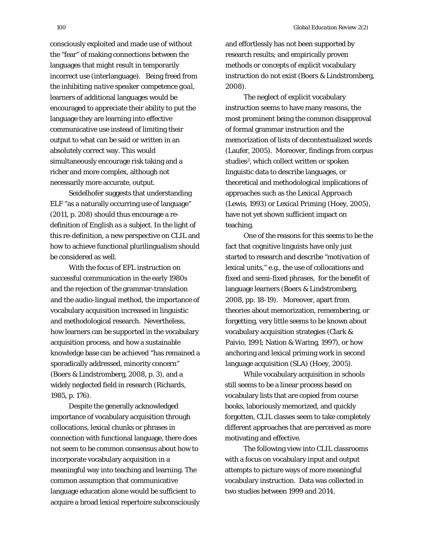consciously exploited and made use of without the "fear" of making connections between the languages that might result in temporarily incorrect use (interlanguage). Being freed from the *inhibiting native speaker competence goal*, learners of additional languages would be encouraged to appreciate their ability to put the language they are learning into effective communicative use instead of limiting their output to what can be said or written in an absolutely correct way. This would simultaneously encourage risk taking and a richer and more complex, although not necessarily more accurate, output.

Seidelhofer suggests that understanding ELF "as a naturally occurring use of language" (2011, p. 208) should thus encourage a redefinition of *English as a subject*. In the light of this re-definition, a new perspective on CLIL and how to achieve functional plurilingualism should be considered as well.

With the focus of EFL instruction on successful communication in the early 1980s and the rejection of the grammar-translation and the audio-lingual method, the importance of vocabulary acquisition increased in linguistic and methodological research. Nevertheless, how learners can be supported in the vocabulary acquisition process, and how a sustainable knowledge base can be achieved "has remained a sporadically addressed, minority concern" (Boers & Lindstromberg, 2008, p. 3), and a widely neglected field in research (Richards, 1985, p. 176).

Despite the generally acknowledged importance of vocabulary acquisition through collocations, lexical chunks or phrases in connection with functional language, there does not seem to be common consensus about how to incorporate vocabulary acquisition in a meaningful way into teaching and learning. The common assumption that communicative language education alone would be sufficient to acquire a broad lexical repertoire subconsciously and effortlessly has not been supported by research results; and empirically proven methods or concepts of explicit vocabulary instruction do not exist (Boers & Lindstromberg, 2008).

The neglect of explicit vocabulary instruction seems to have many reasons, the most prominent being the common disapproval of formal grammar instruction and the memorization of lists of decontextualized words (Laufer, 2005). Moreover, findings from corpus studies3, which collect written or spoken linguistic data to describe languages, or theoretical and methodological implications of approaches such as the *Lexical Approach* (Lewis, 1993) or *Lexical Priming* (Hoey, 2005), have not yet shown sufficient impact on teaching.

One of the reasons for this seems to be the fact that cognitive linguists have only just started to research and describe *"motivation* of lexical units," e.g., the use of collocations and fixed and semi-fixed phrases, for the benefit of language learners (Boers & Lindstromberg, 2008, pp. 18-19). Moreover, apart from theories about memorization, remembering, or forgetting, very little seems to be known about vocabulary acquisition strategies (Clark & Paivio, 1991; Nation & Waring, 1997), or how anchoring and lexical priming work in second language acquisition (SLA) (Hoey, 2005).

While vocabulary acquisition in schools still seems to be a linear process based on vocabulary lists that are copied from course books, laboriously memorized, and quickly forgotten, CLIL classes seem to take completely different approaches that are perceived as more motivating and effective.

The following view into CLIL classrooms with a focus on vocabulary input and output attempts to picture ways of more meaningful vocabulary instruction. Data was collected in two studies between 1999 and 2014.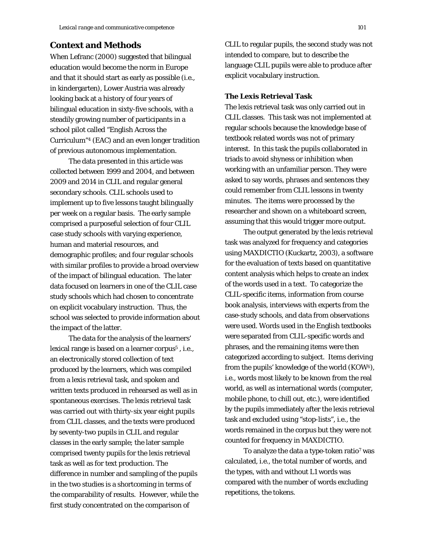## **Context and Methods**

When Lefranc (2000) suggested that bilingual education would become the norm in Europe and that it should start as early as possible (i.e., in kindergarten), Lower Austria was already looking back at a history of four years of bilingual education in sixty-five schools, with a steadily growing number of participants in a school pilot called "English Across the Curriculum"4 (EAC) and an even longer tradition of previous autonomous implementation.

The data presented in this article was collected between 1999 and 2004, and between 2009 and 2014 in CLIL and regular general secondary schools. CLIL schools used to implement up to five lessons taught bilingually per week on a regular basis. The early sample comprised a purposeful selection of four CLIL case study schools with varying experience, human and material resources, and demographic profiles; and four regular schools with similar profiles to provide a broad overview of the impact of bilingual education. The later data focused on learners in one of the CLIL case study schools which had chosen to concentrate on explicit vocabulary instruction. Thus, the school was selected to provide information about the impact of the latter.

The data for the analysis of the learners' lexical range is based on a learner corpus<sup>5</sup>, i.e., an electronically stored collection of text produced by the learners, which was compiled from a lexis retrieval task, and spoken and written texts produced in rehearsed as well as in spontaneous exercises. The lexis retrieval task was carried out with thirty-six year eight pupils from CLIL classes, and the texts were produced by seventy-two pupils in CLIL and regular classes in the early sample; the later sample comprised twenty pupils for the lexis retrieval task as well as for text production. The difference in number and sampling of the pupils in the two studies is a shortcoming in terms of the comparability of results. However, while the first study concentrated on the comparison of

CLIL to regular pupils, the second study was not intended to compare, but to describe the language CLIL pupils were able to produce after explicit vocabulary instruction.

## **The Lexis Retrieval Task**

The lexis retrieval task was only carried out in CLIL classes. This task was not implemented at regular schools because the knowledge base of textbook related words was not of primary interest. In this task the pupils collaborated in triads to avoid shyness or inhibition when working with an unfamiliar person. They were asked to say words, phrases and sentences they could remember from CLIL lessons in twenty minutes. The items were processed by the researcher and shown on a whiteboard screen, assuming that this would trigger more output.

The output generated by the lexis retrieval task was analyzed for frequency and categories using MAXDICTIO (Kuckartz, 2003), a software for the evaluation of texts based on quantitative content analysis which helps to create an index of the words used in a text. To categorize the CLIL-specific items, information from course book analysis, interviews with experts from the case-study schools, and data from observations were used. Words used in the English textbooks were separated from CLIL-specific words and phrases, and the remaining items were then categorized according to subject. Items deriving from the pupils' knowledge of the world (KOW6), i.e., words most likely to be known from the real world, as well as international words (computer, mobile phone, to chill out, etc.), were identified by the pupils immediately after the lexis retrieval task and excluded using "stop-lists", i.e., the words remained in the corpus but they were not counted for frequency in MAXDICTIO.

To analyze the data a type-token ratio<sup>7</sup> was calculated, i.e., the total number of words, and the types, with and without L1 words was compared with the number of words excluding repetitions, the tokens.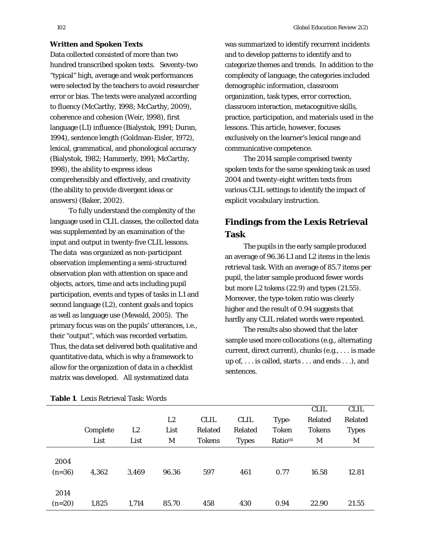#### **Written and Spoken Texts**

Data collected consisted of more than two hundred transcribed spoken texts. Seventy-two "typical" high, average and weak performances were selected by the teachers to avoid researcher error or bias. The texts were analyzed according to fluency (McCarthy, 1998; McCarthy, 2009), coherence and cohesion (Weir, 1998), first language (L1) influence (Bialystok, 1991; Duran, 1994), sentence length (Goldman-Eisler, 1972), lexical, grammatical, and phonological accuracy (Bialystok, 1982; Hammerly, 1991; McCarthy, 1998), the ability to express ideas comprehensibly and effectively, and creativity (the ability to provide divergent ideas or answers) (Baker, 2002).

To fully understand the complexity of the language used in CLIL classes, the collected data was supplemented by an examination of the input and output in twenty-five CLIL lessons. The data was organized as non-participant observation implementing a semi-structured observation plan with attention on space and objects, actors, time and acts including pupil participation, events and types of tasks in L1 and second language (L2), content goals and topics as well as language use (Mewald, 2005). The primary focus was on the pupils' utterances, i.e., their "output", which was recorded verbatim. Thus, the data set delivered both qualitative and quantitative data, which is why a framework to allow for the organization of data in a checklist matrix was developed. All systematized data

was summarized to identify recurrent incidents and to develop patterns to identify and to categorize themes and trends. In addition to the complexity of language, the categories included demographic information, classroom organization, task types, error correction, classroom interaction, metacognitive skills, practice, participation, and materials used in the lessons. This article, however, focuses exclusively on the learner's lexical range and communicative competence.

The 2014 sample comprised twenty spoken texts for the same speaking task as used 2004 and twenty-eight written texts from various CLIL settings to identify the impact of explicit vocabulary instruction.

# **Findings from the Lexis Retrieval Task**

The pupils in the early sample produced an average of 96.36 L1 and L2 items in the lexis retrieval task. With an average of 85.7 items per pupil, the later sample produced fewer words but more L2 tokens (22.9) and types (21.55). Moreover, the type-token ratio was clearly higher and the result of 0.94 suggests that hardly any CLIL related words were repeated.

The results also showed that the later sample used more collocations (e.g., alternating current, direct current), chunks (e.g., . . . is made up of, . . . is called, starts . . . and ends . . .), and sentences.

|                  |          |                |       |               |              |              | <b>CLIL</b>   | <b>CLIL</b>  |  |
|------------------|----------|----------------|-------|---------------|--------------|--------------|---------------|--------------|--|
|                  |          |                | L2    | <b>CLIL</b>   | <b>CLIL</b>  | Type-        | Related       | Related      |  |
|                  | Complete | L <sub>2</sub> | List  | Related       | Related      | <b>Token</b> | <b>Tokens</b> | <b>Types</b> |  |
|                  | List     | List           | M     | <b>Tokens</b> | <b>Types</b> | Ratiovii     | M             | M            |  |
| 2004<br>$(n=36)$ | 4,362    | 3,469          | 96.36 | 597           | 461          | 0.77         | 16.58         | 12.81        |  |
| 2014<br>$(n=20)$ | 1,825    | 1,714          | 85.70 | 458           | 430          | 0.94         | 22.90         | 21.55        |  |

#### **Table 1**. Lexis Retrieval Task: Words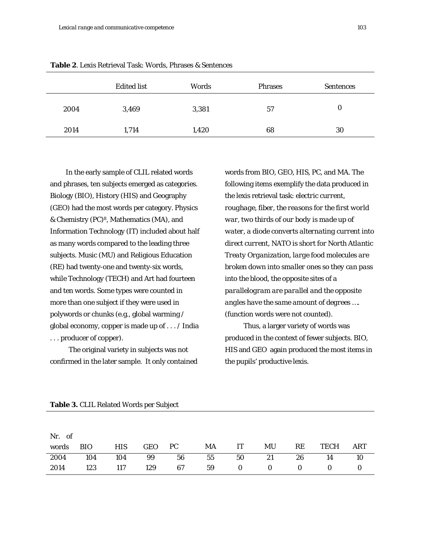|      | <b>Edited list</b> | Words | <b>Phrases</b> | <b>Sentences</b> |
|------|--------------------|-------|----------------|------------------|
| 2004 | 3,469              | 3,381 | 57             | $\bf{0}$         |
| 2014 | 1,714              | 1,420 | 68             | 30               |

|  |  |  |  |  |  |  |  | <b>Table 2.</b> Lexis Retrieval Task: Words, Phrases & Sentences |
|--|--|--|--|--|--|--|--|------------------------------------------------------------------|
|--|--|--|--|--|--|--|--|------------------------------------------------------------------|

In the early sample of CLIL related words and phrases, ten subjects emerged as categories. Biology (BIO), History (HIS) and Geography (GEO) had the most words per category. Physics & Chemistry (PC)8, Mathematics (MA), and Information Technology (IT) included about half as many words compared to the leading three subjects. Music (MU) and Religious Education (RE) had twenty-one and twenty-six words, while Technology (TECH) and Art had fourteen and ten words. Some types were counted in more than one subject if they were used in polywords or chunks (e.g., global warming / global economy, copper is made up of . . . / India . . . producer of copper).

The original variety in subjects was not confirmed in the later sample. It only contained

words from BIO, GEO, HIS, PC, and MA. The following items exemplify the data produced in the lexis retrieval task: *electric current, roughage, fiber, the reasons for the first world war, two thirds of our body is made up of water, a diode converts alternating current into direct current, NATO is short for North Atlantic Treaty Organization, large food molecules are broken down into smaller ones so they can pass into the blood, the opposite sites of a parallelogram are parallel and the opposite angles have the same amount of degrees ….*  (function words were not counted)*.*

Thus, a larger variety of words was produced in the context of fewer subjects. BIO, HIS and GEO again produced the most items in the pupils' productive lexis.

| Nr. of |           |            |  |                                   |  |    |      |            |
|--------|-----------|------------|--|-----------------------------------|--|----|------|------------|
|        | words BIO | <b>HIS</b> |  | GEO PC MA IT MU                   |  | RE | TECH | <b>ART</b> |
|        |           |            |  | 2004 104 104 99 56 55 50 21 26 14 |  |    |      | - 10       |
|        |           |            |  | 2014 123 117 129 67 59 0 0 0 0 0  |  |    |      |            |

#### **Table 3.** CLIL Related Words per Subject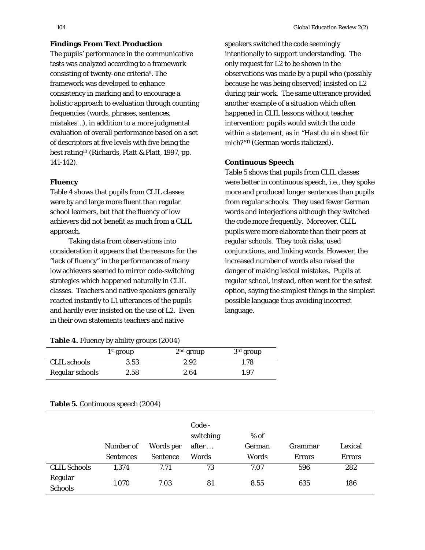### **Findings From Text Production**

The pupils' performance in the communicative tests was analyzed according to a framework consisting of twenty-one criteria9. The framework was developed to enhance consistency in marking and to encourage a holistic approach to evaluation through counting frequencies (words, phrases, sentences, mistakes…), in addition to a more judgmental evaluation of overall performance based on a set of descriptors at five levels with five being the best rating10 (Richards, Platt & Platt, 1997, pp. 141-142).

### *Fluency*

Table 4 shows that pupils from CLIL classes were by and large more fluent than regular school learners, but that the fluency of low achievers did not benefit as much from a CLIL approach.

Taking data from observations into consideration it appears that the reasons for the "lack of fluency" in the performances of many low achievers seemed to mirror code-switching strategies which happened naturally in CLIL classes. Teachers and native speakers generally reacted instantly to L1 utterances of the pupils and hardly ever insisted on the use of L2. Even in their own statements teachers and native

speakers switched the code seemingly intentionally to support understanding. The only request for L2 to be shown in the observations was made by a pupil who (possibly because he was being observed) insisted on L2 during pair work. The same utterance provided another example of a situation which often happened in CLIL lessons without teacher intervention: pupils would switch the code within a statement, as in *"Hast du ein* sheet *für mich?"11* (German words italicized).

### *Continuous Speech*

Table 5 shows that pupils from CLIL classes were better in continuous speech, i.e., they spoke more and produced longer sentences than pupils from regular schools. They used fewer German words and interjections although they switched the code more frequently. Moreover, CLIL pupils were more elaborate than their peers at regular schools. They took risks, used conjunctions, and linking words. However, the increased number of words also raised the danger of making lexical mistakes. Pupils at regular school, instead, often went for the safest option, saying the simplest things in the simplest possible language thus avoiding incorrect language.

| Table 4. Fluency by ability groups (2004) |  |  |  |  |  |
|-------------------------------------------|--|--|--|--|--|
|-------------------------------------------|--|--|--|--|--|

|                     | $1st$ group | $2nd$ group | $3rd$ group |
|---------------------|-------------|-------------|-------------|
| <b>CLIL</b> schools | 3.53        | 2.92        | 1.78        |
| Regular schools     | 2.58        | 2.64        | 1.97        |

|                           | Number of<br><b>Sentences</b> | Words per<br><b>Sentence</b> | Code -<br>switching<br>after<br>Words | $%$ of<br>German<br>Words | Grammar<br><b>Errors</b> | Lexical<br><b>Errors</b> |
|---------------------------|-------------------------------|------------------------------|---------------------------------------|---------------------------|--------------------------|--------------------------|
| <b>CLIL Schools</b>       | 1,374                         | 7.71                         | 73                                    | 7.07                      | 596                      | 282                      |
| Regular<br><b>Schools</b> | 1,070                         | 7.03                         | 81                                    | 8.55                      | 635                      | 186                      |

#### **Table 5.** Continuous speech (2004)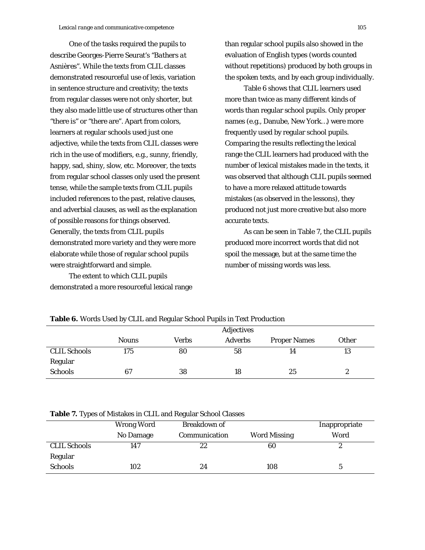One of the tasks required the pupils to describe Georges-Pierre Seurat's *"Bathers at Asnières".* While the texts from CLIL classes demonstrated resourceful use of lexis, variation in sentence structure and creativity; the texts from regular classes were not only shorter, but they also made little use of structures other than "there is" or "there are". Apart from colors, learners at regular schools used just one adjective, while the texts from CLIL classes were rich in the use of modifiers, e.g., sunny, friendly, happy, sad, shiny, slow, etc. Moreover, the texts from regular school classes only used the present tense, while the sample texts from CLIL pupils included references to the past, relative clauses, and adverbial clauses, as well as the explanation of possible reasons for things observed. Generally, the texts from CLIL pupils demonstrated more variety and they were more elaborate while those of regular school pupils were straightforward and simple.

The extent to which CLIL pupils demonstrated a more resourceful lexical range than regular school pupils also showed in the evaluation of English types (words counted without repetitions) produced by both groups in the spoken texts, and by each group individually.

Table 6 shows that CLIL learners used more than twice as many different kinds of words than regular school pupils. Only proper names (e.g., Danube, New York…) were more frequently used by regular school pupils. Comparing the results reflecting the lexical range the CLIL learners had produced with the number of lexical mistakes made in the texts, it was observed that although CLIL pupils seemed to have a more relaxed attitude towards mistakes (as observed in the lessons), they produced not just more creative but also more accurate texts.

As can be seen in Table 7, the CLIL pupils produced more incorrect words that did not spoil the message, but at the same time the number of missing words was less.

| Tuble of Horas Osca by Olim and Ivegana School's apholic fort Froudenon |              |       |                |                     |              |  |
|-------------------------------------------------------------------------|--------------|-------|----------------|---------------------|--------------|--|
|                                                                         |              |       | Adjectives     |                     |              |  |
|                                                                         | <b>Nouns</b> | Verbs | <b>Adverbs</b> | <b>Proper Names</b> | <b>Other</b> |  |
| <b>CLIL Schools</b>                                                     | 175          | 80    | 58             | 14                  | 13           |  |
| Regular                                                                 |              |       |                |                     |              |  |
| <b>Schools</b>                                                          | 67           | 38    | 18             | 25                  | ∼            |  |

### **Table 6.** Words Used by CLIL and Regular School Pupils in Text Production

**Table 7.** Types of Mistakes in CLIL and Regular School Classes

| . .                 |            |                     |                     |               |
|---------------------|------------|---------------------|---------------------|---------------|
|                     | Wrong Word | <b>Breakdown of</b> |                     | Inappropriate |
|                     | No Damage  | Communication       | <b>Word Missing</b> | Word          |
| <b>CLIL Schools</b> | 147        | 22                  | 60                  |               |
| Regular             |            |                     |                     |               |
| <b>Schools</b>      | 102        | 24                  | 108                 |               |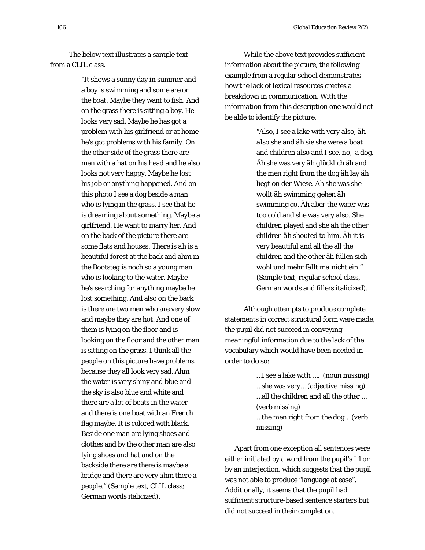The below text illustrates a sample text from a CLIL class.

> "It shows a sunny day in summer and a boy is swimming and some are on the boat. Maybe they want to fish. And on the grass there is sitting a boy. He looks very sad. Maybe he has got a problem with his girlfriend or at home he's got problems with his family. On the other side of the grass there are men with a hat on his head and he also looks not very happy. Maybe he lost his job or anything happened. And on this photo I see a dog beside a man who is lying in the grass. I see that he is dreaming about something. Maybe a girlfriend. He want to marry her. And on the back of the picture there are some flats and houses. There is *ah* is a beautiful forest at the back and ahm in the *Bootsteg* is *noch so* a young man who is looking to the water. Maybe he's searching for anything maybe he lost something. And also on the back is there are two men who are very slow and maybe they are hot. And one of them is lying on the floor and is looking on the floor and the other man is sitting on the grass. I think all the people on this picture have problems because they all look very sad. *Ahm* the water is very shiny and blue and the sky is also blue and white and there are a lot of boats in the water and there is one boat with an French flag maybe. It is colored with black. Beside one man are lying shoes and clothes and by the other man are also lying shoes and hat and on the backside there are there is maybe a bridge and there are very *ahm* there a people." (Sample text, CLIL class; German words italicized).

While the above text provides sufficient information about the picture, the following example from a regular school demonstrates how the lack of lexical resources creates a breakdown in communication. With the information from this description one would not be able to identify the picture.

> "*Also*, I see a lake with very *also*, *äh also* she and *äh* sie she were a boat and children *also* and I see, no, a dog. *Äh* she was very *äh glücklich* äh and the men right from the dog *äh* lay *äh liegt* on *der Wiese*. *Äh* she was she *wollt äh* swimming *gehen äh* swimming go. *Äh aber* the water was too cold and she was very *also*. She children played and she *äh* the other children *äh* shouted to him. *Äh* it is very beautiful and all the all the children and the other äh *füllen sich wohl und mehr fällt ma nicht ein*." (Sample text, regular school class, German words and fillers italicized).

Although attempts to produce complete statements in correct structural form were made, the pupil did not succeed in conveying meaningful information due to the lack of the vocabulary which would have been needed in order to do so:

> …I see a lake with …. (noun missing) …she was very… (adjective missing) …all the children and all the other … (verb missing) …the men right from the dog… (verb missing)

Apart from one exception all sentences were either initiated by a word from the pupil's L1 or by an interjection, which suggests that the pupil was not able to produce "language at ease". Additionally, it seems that the pupil had sufficient structure-based sentence starters but did not succeed in their completion.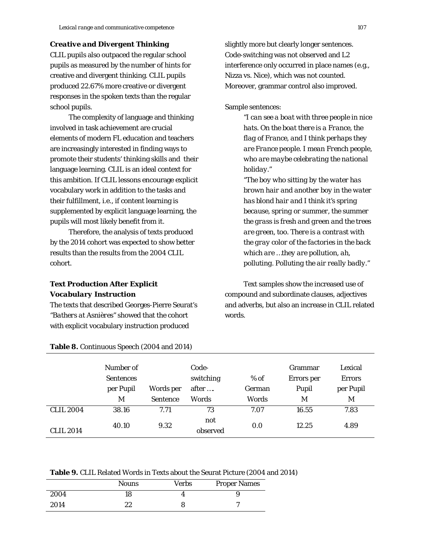#### *Creative and Divergent Thinking*

CLIL pupils also outpaced the regular school pupils as measured by the number of hints for creative and divergent thinking. CLIL pupils produced 22.67% more creative or divergent responses in the spoken texts than the regular school pupils.

The complexity of language and thinking involved in task achievement are crucial elements of modern FL education and teachers are increasingly interested in finding ways to promote their students' thinking skills and their language learning. CLIL is an ideal context for this ambition. If CLIL lessons encourage explicit vocabulary work in addition to the tasks and their fulfillment, i.e., if content learning is supplemented by explicit language learning, the pupils will most likely benefit from it.

Therefore, the analysis of texts produced by the 2014 cohort was expected to show better results than the results from the 2004 CLIL cohort.

## *Text Production After Explicit Vocabulary Instruction*

The texts that described Georges-Pierre Seurat's *"Bathers at Asnières"* showed that the cohort with explicit vocabulary instruction produced

slightly more but clearly longer sentences. Code-switching was not observed and L2 interference only occurred in place names (e.g., Nizza vs. Nice), which was not counted. Moreover, grammar control also improved.

Sample sentences:

*"I can see a boat with three people in nice hats. On the boat there is a France, the flag of France, and I think perhaps they are France people. I mean French people, who are maybe celebrating the national holiday."*

*"The boy who sitting by the water has brown hair and another boy in the water has blond hair and I think it's spring because, spring or summer, the summer the grass is fresh and green and the trees are green, too. There is a contrast with the gray color of the factories in the back which are …they are pollution, ah, polluting. Polluting the air really badly."*

Text samples show the increased use of compound and subordinate clauses, adjectives and adverbs, but also an increase in CLIL related words.

|                  | Number of<br><b>Sentences</b><br>per Pupil<br>M | Words per<br><b>Sentence</b> | Code-<br>switching<br>after<br><b>Words</b> | $%$ of<br><b>German</b><br>Words | Grammar<br>Errors per<br>Pupil<br>M | Lexical<br><b>Errors</b><br>per Pupil<br>M |
|------------------|-------------------------------------------------|------------------------------|---------------------------------------------|----------------------------------|-------------------------------------|--------------------------------------------|
| <b>CLIL 2004</b> | 38.16                                           | 7.71                         | 73                                          | 7.07                             | 16.55                               | 7.83                                       |
| <b>CLIL 2014</b> | 40.10                                           | 9.32                         | not<br>observed                             | 0.0                              | 12.25                               | 4.89                                       |

**Table 8.** Continuous Speech (2004 and 2014)

**Table 9.** CLIL Related Words in Texts about the Seurat Picture (2004 and 2014)

|      | <b>Nouns</b> | <b>Verbs</b> | <b>Proper Names</b> |
|------|--------------|--------------|---------------------|
| 2004 | 18           |              |                     |
| 2014 | 22           |              |                     |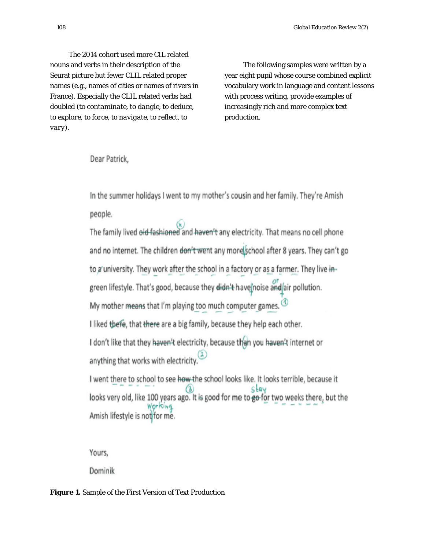The 2014 cohort used more CIL related nouns and verbs in their description of the Seurat picture but fewer CLIL related proper names (e.g., names of cities or names of rivers in France). Especially the CLIL related verbs had doubled *(to contaminate, to dangle, to deduce, to explore, to force, to navigate, to reflect, to vary)*.

The following samples were written by a year eight pupil whose course combined explicit vocabulary work in language and content lessons with process writing, provide examples of increasingly rich and more complex text production.

# Dear Patrick,

In the summer holidays I went to my mother's cousin and her family. They're Amish people.

The family lived old fashioned and haven't any electricity. That means no cell phone and no internet. The children don't went any more school after 8 years. They can't go to a university. They work after the school in a factory or as a farmer. They live ingreen lifestyle. That's good, because they didn't have noise and air pollution. My mother means that I'm playing too much computer games.  $\circledcirc$ I liked thefe, that there are a big family, because they help each other. I don't like that they haven't electricity, because then you haven't internet or anything that works with electricity.<sup>(2)</sup> I went there to school to see how the school looks like. It looks terrible, because it

 $\frac{3}{2}$  looks very old, like 100 years ago. It is good for me to go for two weeks there, but the Amish lifestyle is not for me.

Yours,

Dominik

### **Figure 1.** Sample of the First Version of Text Production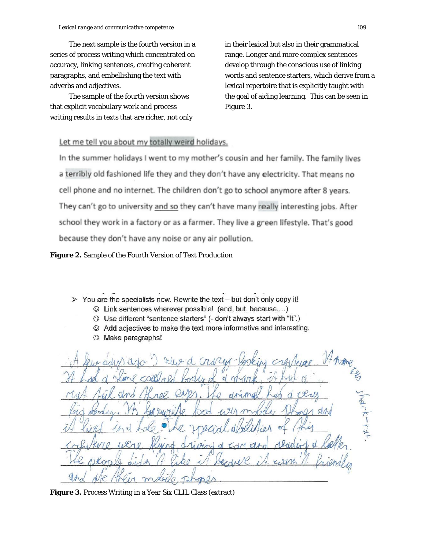The next sample is the fourth version in a series of process writing which concentrated on accuracy, linking sentences, creating coherent paragraphs, and embellishing the text with adverbs and adjectives.

The sample of the fourth version shows that explicit vocabulary work and process writing results in texts that are richer, not only

in their lexical but also in their grammatical range. Longer and more complex sentences develop through the conscious use of linking words and sentence starters, which derive from a lexical repertoire that is explicitly taught with the goal of aiding learning. This can be seen in Figure 3.

## Let me tell you about my totally weird holidays.

In the summer holidays I went to my mother's cousin and her family. The family lives a terribly old fashioned life they and they don't have any electricity. That means no cell phone and no internet. The children don't go to school anymore after 8 years. They can't go to university and so they can't have many really interesting jobs. After school they work in a factory or as a farmer. They live a green lifestyle. That's good because they don't have any noise or any air pollution.

**Figure 2.** Sample of the Fourth Version of Text Production

- $\triangleright$  You are the specialists now. Rewrite the text but don't only copy it!
	- © Link sentences wherever possible! (and, but, because,...)
	- © Use different "sentence starters" (- don't always start with "It".)
	- Add adjectives to make the text more informative and interesting.
	- Make paragraphs!  $\odot$

d

**Figure 3.** Process Writing in a Year Six CLIL Class (extract)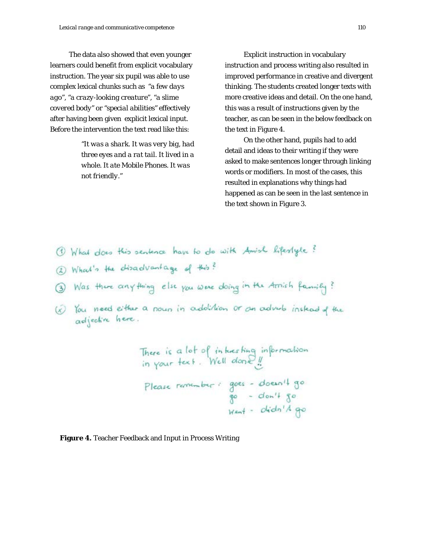The data also showed that even younger learners could benefit from explicit vocabulary instruction. The year six pupil was able to use complex lexical chunks such as *"a few days ago", "a crazy-looking creature", "a slime covered body"* or *"special abilities"* effectively after having been given explicit lexical input. Before the intervention the text read like this:

> *"It was a shark. It was very big, had three eyes and a rat tail. It lived in a whole. It ate Mobile Phones. It was not friendly."*

Explicit instruction in vocabulary instruction and process writing also resulted in improved performance in creative and divergent thinking. The students created longer texts with more creative ideas and detail. On the one hand, this was a result of instructions given by the teacher, as can be seen in the below feedback on the text in Figure 4.

On the other hand, pupils had to add detail and ideas to their writing if they were asked to make sentences longer through linking words or modifiers. In most of the cases, this resulted in explanations why things had happened as can be seen in the last sentence in the text shown in Figure 3.

- 1 What does this sentence have to do with Amish liferlyle?
- (2) What's the disadvantage of this?
- 3) Was there any thing else you were doing in the Arnish family?
- (x) You need either a nour in addition or an adverb instead of the

There is a lot of interesting information<br>in your text. Well done !! Please remember: goes - doesn't go<br>go - don't go Went - didn't go

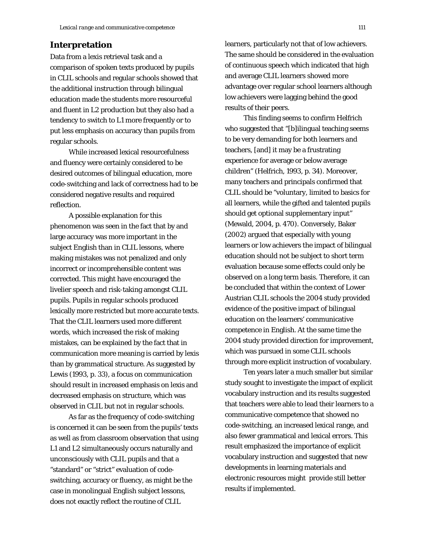# **Interpretation**

Data from a lexis retrieval task and a comparison of spoken texts produced by pupils in CLIL schools and regular schools showed that the additional instruction through bilingual education made the students more resourceful and fluent in L2 production but they also had a tendency to switch to L1 more frequently or to put less emphasis on accuracy than pupils from regular schools.

While increased lexical resourcefulness and fluency were certainly considered to be desired outcomes of bilingual education, more code-switching and lack of correctness had to be considered negative results and required reflection.

A possible explanation for this phenomenon was seen in the fact that by and large accuracy was more important in the subject English than in CLIL lessons, where making mistakes was not penalized and only incorrect or incomprehensible content was corrected. This might have encouraged the livelier speech and risk-taking amongst CLIL pupils. Pupils in regular schools produced lexically more restricted but more accurate texts. That the CLIL learners used more different words, which increased the risk of making mistakes, can be explained by the fact that in communication more meaning is carried by lexis than by grammatical structure. As suggested by Lewis (1993, p. 33), a focus on communication should result in increased emphasis on lexis and decreased emphasis on structure, which was observed in CLIL but not in regular schools.

As far as the frequency of code-switching is concerned it can be seen from the pupils' texts as well as from classroom observation that using L1 and L2 simultaneously occurs naturally and unconsciously with CLIL pupils and that a "standard" or "strict" evaluation of codeswitching, accuracy or fluency, as might be the case in monolingual English subject lessons, does not exactly reflect the routine of CLIL

learners, particularly not that of low achievers. The same should be considered in the evaluation of continuous speech which indicated that high and average CLIL learners showed more advantage over regular school learners although low achievers were lagging behind the good results of their peers.

This finding seems to confirm Helfrich who suggested that "[b]ilingual teaching seems to be very demanding for both learners and teachers, [and] it may be a frustrating experience for average or below average children" (Helfrich, 1993, p. 34). Moreover, many teachers and principals confirmed that CLIL should be "voluntary, limited to basics for all learners, while the gifted and talented pupils should get optional supplementary input" (Mewald, 2004, p. 470). Conversely, Baker (2002) argued that especially with young learners or low achievers the impact of bilingual education should not be subject to short term evaluation because some effects could only be observed on a long term basis. Therefore, it can be concluded that within the context of Lower Austrian CLIL schools the 2004 study provided evidence of the positive impact of bilingual education on the learners' communicative competence in English. At the same time the 2004 study provided direction for improvement, which was pursued in some CLIL schools through more explicit instruction of vocabulary.

Ten years later a much smaller but similar study sought to investigate the impact of explicit vocabulary instruction and its results suggested that teachers were able to lead their learners to a communicative competence that showed no code-switching, an increased lexical range, and also fewer grammatical and lexical errors. This result emphasized the importance of explicit vocabulary instruction and suggested that new developments in learning materials and electronic resources might provide still better results if implemented.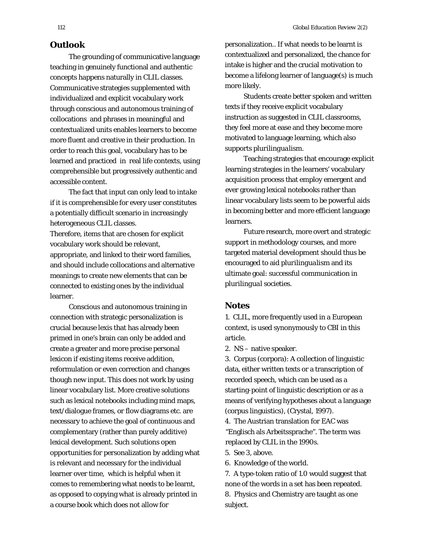#### **Outlook**

The grounding of communicative language teaching in genuinely functional and authentic concepts happens naturally in CLIL classes. Communicative strategies supplemented with individualized and explicit vocabulary work through conscious and autonomous training of collocations and phrases in meaningful and contextualized units enables learners to become more fluent and creative in their production. In order to reach this goal, vocabulary has to be learned and practiced in real life contexts, using comprehensible but progressively authentic and accessible content.

The fact that *input* can only lead to *intake* if it is comprehensible for every user constitutes a potentially difficult scenario in increasingly heterogeneous CLIL classes.

Therefore, items that are chosen for explicit vocabulary work should be relevant, appropriate, and linked to their word families, and should include collocations and alternative meanings to create new elements that can be connected to existing ones by the individual learner.

Conscious and autonomous training in connection with strategic personalization is crucial because lexis that has already been primed in one's brain can only be added and create a greater and more precise personal lexicon if existing items receive addition, reformulation or even correction and changes though new input. This does not work by using linear vocabulary list. More creative solutions such as lexical notebooks including mind maps, text/dialogue frames, or flow diagrams etc. are necessary to achieve the goal of continuous and complementary (rather than purely additive) lexical development. Such solutions open opportunities for personalization by adding what is relevant and necessary for the individual learner over time, which is helpful when it comes to remembering what needs to be learnt, as opposed to copying what is already printed in a course book which does not allow for

personalization.. If what needs to be learnt is contextualized and personalized, the chance for intake is higher and the crucial motivation to become a lifelong learner of language(s) is much more likely.

Students create better spoken and written texts if they receive explicit vocabulary instruction as suggested in CLIL classrooms, they feel more at ease and they become more motivated to language learning, which also supports *plurilingualism*.

Teaching strategies that encourage explicit learning strategies in the learners' vocabulary acquisition process that employ emergent and ever growing lexical notebooks rather than linear vocabulary lists seem to be powerful aids in becoming better and more efficient language learners.

Future research, more overt and strategic support in methodology courses, and more targeted material development should thus be encouraged to aid *plurilingualism* and its ultimate goal: successful communication in *plurilingua*l societies.

## **Notes**

1. CLIL, more frequently used in a European context, is used synonymously to CBI in this article.

2. NS – native speaker.

3. Corpus (corpora): A collection of linguistic data, either written texts or a transcription of recorded speech, which can be used as a starting-point of linguistic description or as a means of verifying hypotheses about a language (corpus linguistics), (Crystal, 1997).

4. The Austrian translation for EAC was "Englisch als Arbeitssprache". The term was replaced by CLIL in the 1990s.

5. See 3, above.

6. Knowledge of the world.

7. A type-token ratio of 1.0 would suggest that none of the words in a set has been repeated. 8. Physics and Chemistry are taught as one subject.